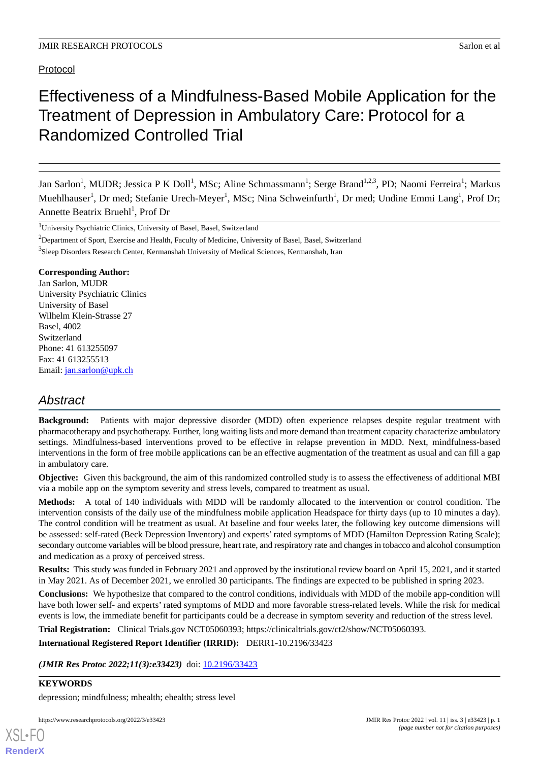# Protocol

# Effectiveness of a Mindfulness-Based Mobile Application for the Treatment of Depression in Ambulatory Care: Protocol for a Randomized Controlled Trial

Jan Sarlon<sup>1</sup>, MUDR; Jessica P K Doll<sup>1</sup>, MSc; Aline Schmassmann<sup>1</sup>; Serge Brand<sup>1,2,3</sup>, PD; Naomi Ferreira<sup>1</sup>; Markus Muehlhauser<sup>1</sup>, Dr med; Stefanie Urech-Meyer<sup>1</sup>, MSc; Nina Schweinfurth<sup>1</sup>, Dr med; Undine Emmi Lang<sup>1</sup>, Prof Dr; Annette Beatrix Bruehl<sup>1</sup>, Prof Dr

<sup>1</sup>University Psychiatric Clinics, University of Basel, Basel, Switzerland

<sup>2</sup>Department of Sport, Exercise and Health, Faculty of Medicine, University of Basel, Basel, Switzerland

<sup>3</sup>Sleep Disorders Research Center, Kermanshah University of Medical Sciences, Kermanshah, Iran

## **Corresponding Author:**

Jan Sarlon, MUDR University Psychiatric Clinics University of Basel Wilhelm Klein-Strasse 27 Basel, 4002 Switzerland Phone: 41 613255097 Fax: 41 613255513 Email: [jan.sarlon@upk.ch](mailto:jan.sarlon@upk.ch)

# *Abstract*

**Background:** Patients with major depressive disorder (MDD) often experience relapses despite regular treatment with pharmacotherapy and psychotherapy. Further, long waiting lists and more demand than treatment capacity characterize ambulatory settings. Mindfulness-based interventions proved to be effective in relapse prevention in MDD. Next, mindfulness-based interventions in the form of free mobile applications can be an effective augmentation of the treatment as usual and can fill a gap in ambulatory care.

**Objective:** Given this background, the aim of this randomized controlled study is to assess the effectiveness of additional MBI via a mobile app on the symptom severity and stress levels, compared to treatment as usual.

**Methods:** A total of 140 individuals with MDD will be randomly allocated to the intervention or control condition. The intervention consists of the daily use of the mindfulness mobile application Headspace for thirty days (up to 10 minutes a day). The control condition will be treatment as usual. At baseline and four weeks later, the following key outcome dimensions will be assessed: self-rated (Beck Depression Inventory) and experts' rated symptoms of MDD (Hamilton Depression Rating Scale); secondary outcome variables will be blood pressure, heart rate, and respiratory rate and changes in tobacco and alcohol consumption and medication as a proxy of perceived stress.

**Results:** This study was funded in February 2021 and approved by the institutional review board on April 15, 2021, and it started in May 2021. As of December 2021, we enrolled 30 participants. The findings are expected to be published in spring 2023.

**Conclusions:** We hypothesize that compared to the control conditions, individuals with MDD of the mobile app-condition will have both lower self- and experts' rated symptoms of MDD and more favorable stress-related levels. While the risk for medical events is low, the immediate benefit for participants could be a decrease in symptom severity and reduction of the stress level.

**Trial Registration:** Clinical Trials.gov NCT05060393; https://clinicaltrials.gov/ct2/show/NCT05060393.

**International Registered Report Identifier (IRRID):** DERR1-10.2196/33423

(JMIR Res Protoc 2022;11(3):e33423) doi: [10.2196/33423](http://dx.doi.org/10.2196/33423)

# **KEYWORDS**

[XSL](http://www.w3.org/Style/XSL)•FO **[RenderX](http://www.renderx.com/)**

depression; mindfulness; mhealth; ehealth; stress level

https://www.researchprotocols.org/2022/3/e33423 JMIR Res Protoc 2022 | vol. 11 | iss. 3 | e33423 | p. 1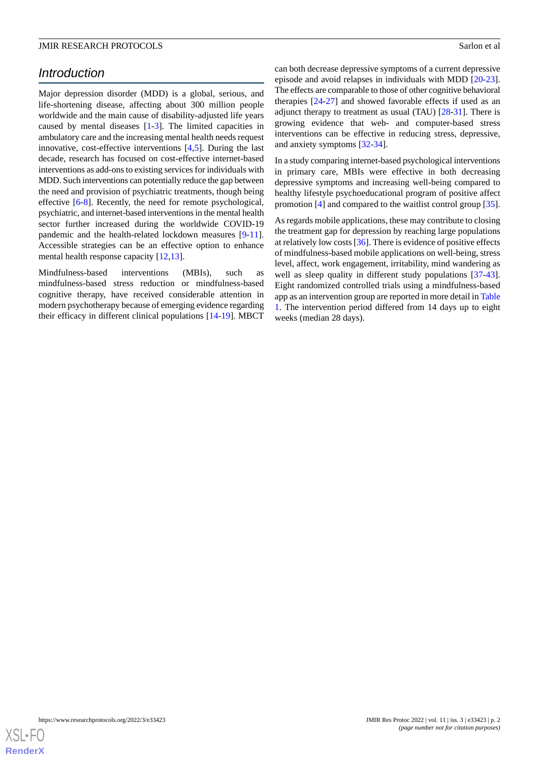# *Introduction*

Major depression disorder (MDD) is a global, serious, and life-shortening disease, affecting about 300 million people worldwide and the main cause of disability-adjusted life years caused by mental diseases [\[1](#page-6-0)[-3\]](#page-6-1). The limited capacities in ambulatory care and the increasing mental health needs request innovative, cost-effective interventions [\[4](#page-6-2),[5\]](#page-6-3). During the last decade, research has focused on cost-effective internet-based interventions as add-ons to existing services for individuals with MDD. Such interventions can potentially reduce the gap between the need and provision of psychiatric treatments, though being effective [[6](#page-6-4)[-8](#page-6-5)]. Recently, the need for remote psychological, psychiatric, and internet-based interventions in the mental health sector further increased during the worldwide COVID-19 pandemic and the health-related lockdown measures [[9](#page-6-6)-[11\]](#page-7-0). Accessible strategies can be an effective option to enhance mental health response capacity [[12](#page-7-1)[,13](#page-7-2)].

Mindfulness-based interventions (MBIs), such as mindfulness-based stress reduction or mindfulness-based cognitive therapy, have received considerable attention in modern psychotherapy because of emerging evidence regarding their efficacy in different clinical populations [\[14](#page-7-3)-[19\]](#page-7-4). MBCT can both decrease depressive symptoms of a current depressive episode and avoid relapses in individuals with MDD [[20-](#page-7-5)[23\]](#page-7-6). The effects are comparable to those of other cognitive behavioral therapies [[24-](#page-7-7)[27](#page-7-8)] and showed favorable effects if used as an adjunct therapy to treatment as usual (TAU) [[28-](#page-7-9)[31](#page-8-0)]. There is growing evidence that web- and computer-based stress interventions can be effective in reducing stress, depressive, and anxiety symptoms [[32-](#page-8-1)[34\]](#page-8-2).

In a study comparing internet-based psychological interventions in primary care, MBIs were effective in both decreasing depressive symptoms and increasing well-being compared to healthy lifestyle psychoeducational program of positive affect promotion [\[4](#page-6-2)] and compared to the waitlist control group [[35\]](#page-8-3).

As regards mobile applications, these may contribute to closing the treatment gap for depression by reaching large populations at relatively low costs [\[36](#page-8-4)]. There is evidence of positive effects of mindfulness-based mobile applications on well-being, stress level, affect, work engagement, irritability, mind wandering as well as sleep quality in different study populations [[37-](#page-8-5)[43\]](#page-8-6). Eight randomized controlled trials using a mindfulness-based app as an intervention group are reported in more detail in [Table](#page-2-0) [1.](#page-2-0) The intervention period differed from 14 days up to eight weeks (median 28 days).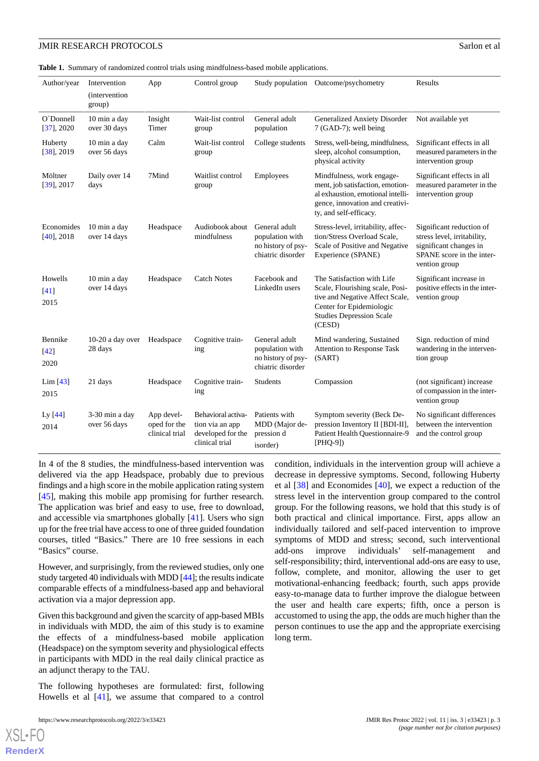<span id="page-2-0"></span>**Table 1.** Summary of randomized control trials using mindfulness-based mobile applications.

| Author/year                 | Intervention<br><i>(intervention)</i><br>group) | App                                          | Control group                                                                |                                                                             | Study population Outcome/psychometry                                                                                                                                      | Results                                                                                                                         |
|-----------------------------|-------------------------------------------------|----------------------------------------------|------------------------------------------------------------------------------|-----------------------------------------------------------------------------|---------------------------------------------------------------------------------------------------------------------------------------------------------------------------|---------------------------------------------------------------------------------------------------------------------------------|
| O'Donnell<br>$[37]$ , 2020  | 10 min a day<br>over 30 days                    | Insight<br>Timer                             | Wait-list control<br>group                                                   | General adult<br>population                                                 | Generalized Anxiety Disorder<br>7 (GAD-7); well being                                                                                                                     | Not available yet                                                                                                               |
| Huberty<br>$[38]$ , 2019    | 10 min a day<br>over 56 days                    | Calm                                         | Wait-list control<br>group                                                   | College students                                                            | Stress, well-being, mindfulness,<br>sleep, alcohol consumption,<br>physical activity                                                                                      | Significant effects in all<br>measured parameters in the<br>intervention group                                                  |
| Möltner<br>$[39]$ , 2017    | Daily over 14<br>days                           | 7Mind                                        | Waitlist control<br>group                                                    | Employees                                                                   | Mindfulness, work engage-<br>ment, job satisfaction, emotion-<br>al exhaustion, emotional intelli-<br>gence, innovation and creativi-<br>ty, and self-efficacy.           | Significant effects in all<br>measured parameter in the<br>intervention group                                                   |
| Economides<br>$[40]$ , 2018 | 10 min a day<br>over 14 days                    | Headspace                                    | Audiobook about<br>mindfulness                                               | General adult<br>population with<br>no history of psy-<br>chiatric disorder | Stress-level, irritability, affec-<br>tion/Stress Overload Scale,<br>Scale of Positive and Negative<br>Experience (SPANE)                                                 | Significant reduction of<br>stress level, irritability,<br>significant changes in<br>SPANE score in the inter-<br>vention group |
| Howells<br>[41]<br>2015     | 10 min a day<br>over 14 days                    | Headspace                                    | <b>Catch Notes</b>                                                           | Facebook and<br>LinkedIn users                                              | The Satisfaction with Life<br>Scale, Flourishing scale, Posi-<br>tive and Negative Affect Scale,<br>Center for Epidemiologic<br><b>Studies Depression Scale</b><br>(CESD) | Significant increase in<br>positive effects in the inter-<br>vention group                                                      |
| Bennike<br>$[42]$<br>2020   | $10-20$ a day over<br>28 days                   | Headspace                                    | Cognitive train-<br>ing                                                      | General adult<br>population with<br>no history of psy-<br>chiatric disorder | Mind wandering, Sustained<br>Attention to Response Task<br>(SART)                                                                                                         | Sign. reduction of mind<br>wandering in the interven-<br>tion group                                                             |
| Lim $[43]$<br>2015          | 21 days                                         | Headspace                                    | Cognitive train-<br>ing                                                      | Students                                                                    | Compassion                                                                                                                                                                | (not significant) increase<br>of compassion in the inter-<br>vention group                                                      |
| Ly [44]<br>2014             | 3-30 min a day<br>over 56 days                  | App devel-<br>oped for the<br>clinical trial | Behavioral activa-<br>tion via an app<br>developed for the<br>clinical trial | Patients with<br>MDD (Major de-<br>pression d<br>isorder)                   | Symptom severity (Beck De-<br>pression Inventory II [BDI-II],<br>Patient Health Questionnaire-9<br>$[PHQ-9]$                                                              | No significant differences<br>between the intervention<br>and the control group                                                 |

In 4 of the 8 studies, the mindfulness-based intervention was delivered via the app Headspace, probably due to previous findings and a high score in the mobile application rating system [[45\]](#page-8-13), making this mobile app promising for further research. The application was brief and easy to use, free to download, and accessible via smartphones globally [[41\]](#page-8-10). Users who sign up for the free trial have access to one of three guided foundation courses, titled "Basics." There are 10 free sessions in each "Basics" course.

However, and surprisingly, from the reviewed studies, only one study targeted 40 individuals with MDD [\[44](#page-8-12)]; the results indicate comparable effects of a mindfulness-based app and behavioral activation via a major depression app.

Given this background and given the scarcity of app-based MBIs in individuals with MDD, the aim of this study is to examine the effects of a mindfulness-based mobile application (Headspace) on the symptom severity and physiological effects in participants with MDD in the real daily clinical practice as an adjunct therapy to the TAU.

The following hypotheses are formulated: first, following Howells et al [\[41](#page-8-10)], we assume that compared to a control

condition, individuals in the intervention group will achieve a decrease in depressive symptoms. Second, following Huberty et al [[38\]](#page-8-7) and Economides [[40\]](#page-8-9), we expect a reduction of the stress level in the intervention group compared to the control group. For the following reasons, we hold that this study is of both practical and clinical importance. First, apps allow an individually tailored and self-paced intervention to improve symptoms of MDD and stress; second, such interventional add-ons improve individuals' self-management and self-responsibility; third, interventional add-ons are easy to use, follow, complete, and monitor, allowing the user to get motivational-enhancing feedback; fourth, such apps provide easy-to-manage data to further improve the dialogue between the user and health care experts; fifth, once a person is accustomed to using the app, the odds are much higher than the person continues to use the app and the appropriate exercising long term.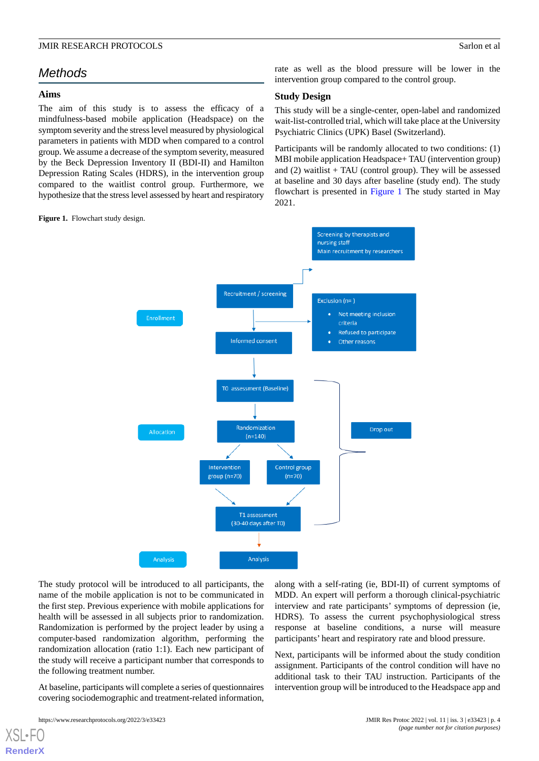# *Methods*

#### **Aims**

The aim of this study is to assess the efficacy of a mindfulness-based mobile application (Headspace) on the symptom severity and the stress level measured by physiological parameters in patients with MDD when compared to a control group. We assume a decrease of the symptom severity, measured by the Beck Depression Inventory II (BDI-II) and Hamilton Depression Rating Scales (HDRS), in the intervention group compared to the waitlist control group. Furthermore, we hypothesize that the stress level assessed by heart and respiratory

<span id="page-3-0"></span>**Figure 1.** Flowchart study design.

rate as well as the blood pressure will be lower in the intervention group compared to the control group.

## **Study Design**

This study will be a single-center, open-label and randomized wait-list-controlled trial, which will take place at the University Psychiatric Clinics (UPK) Basel (Switzerland).

Participants will be randomly allocated to two conditions: (1) MBI mobile application Headspace+ TAU (intervention group) and  $(2)$  waitlist + TAU (control group). They will be assessed at baseline and 30 days after baseline (study end). The study flowchart is presented in [Figure 1](#page-3-0) The study started in May 2021.



The study protocol will be introduced to all participants, the name of the mobile application is not to be communicated in the first step. Previous experience with mobile applications for health will be assessed in all subjects prior to randomization. Randomization is performed by the project leader by using a computer-based randomization algorithm, performing the randomization allocation (ratio 1:1). Each new participant of the study will receive a participant number that corresponds to the following treatment number.

At baseline, participants will complete a series of questionnaires covering sociodemographic and treatment-related information, along with a self-rating (ie, BDI-II) of current symptoms of MDD. An expert will perform a thorough clinical-psychiatric interview and rate participants' symptoms of depression (ie, HDRS). To assess the current psychophysiological stress response at baseline conditions, a nurse will measure participants' heart and respiratory rate and blood pressure.

Next, participants will be informed about the study condition assignment. Participants of the control condition will have no additional task to their TAU instruction. Participants of the intervention group will be introduced to the Headspace app and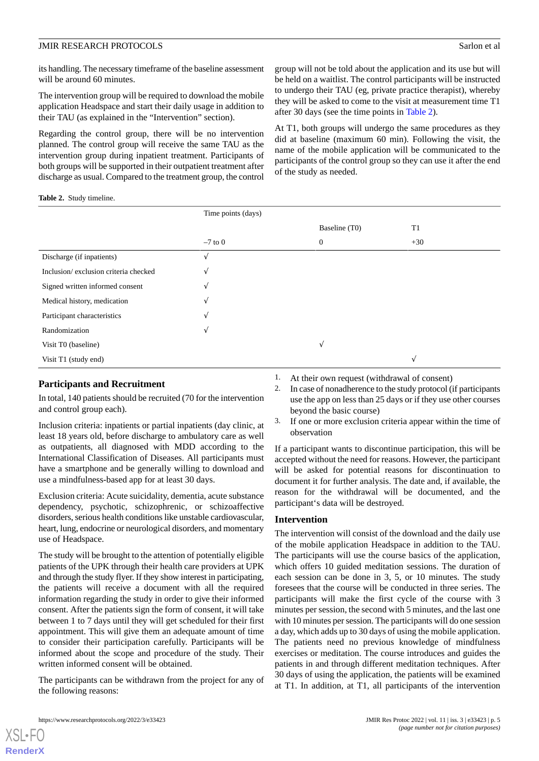its handling. The necessary timeframe of the baseline assessment will be around 60 minutes.

The intervention group will be required to download the mobile application Headspace and start their daily usage in addition to their TAU (as explained in the "Intervention" section).

Regarding the control group, there will be no intervention planned. The control group will receive the same TAU as the intervention group during inpatient treatment. Participants of both groups will be supported in their outpatient treatment after discharge as usual. Compared to the treatment group, the control

group will not be told about the application and its use but will be held on a waitlist. The control participants will be instructed to undergo their TAU (eg, private practice therapist), whereby they will be asked to come to the visit at measurement time T1 after 30 days (see the time points in [Table 2](#page-4-0)).

At T1, both groups will undergo the same procedures as they did at baseline (maximum 60 min). Following the visit, the name of the mobile application will be communicated to the participants of the control group so they can use it after the end of the study as needed.

#### <span id="page-4-0"></span>**Table 2.** Study timeline.

|                                      | Time points (days) |               |                |
|--------------------------------------|--------------------|---------------|----------------|
|                                      |                    | Baseline (T0) | T <sub>1</sub> |
|                                      | $-7$ to 0          | $\mathbf{0}$  | $+30$          |
| Discharge (if inpatients)            |                    |               |                |
| Inclusion/exclusion criteria checked | V                  |               |                |
| Signed written informed consent      | V                  |               |                |
| Medical history, medication          |                    |               |                |
| Participant characteristics          |                    |               |                |
| Randomization                        | V                  |               |                |
| Visit T0 (baseline)                  |                    | N             |                |
| Visit T1 (study end)                 |                    |               | N              |

#### **Participants and Recruitment**

In total, 140 patients should be recruited (70 for the intervention and control group each).

Inclusion criteria: inpatients or partial inpatients (day clinic, at least 18 years old, before discharge to ambulatory care as well as outpatients, all diagnosed with MDD according to the International Classification of Diseases. All participants must have a smartphone and be generally willing to download and use a mindfulness-based app for at least 30 days.

Exclusion criteria: Acute suicidality, dementia, acute substance dependency, psychotic, schizophrenic, or schizoaffective disorders, serious health conditions like unstable cardiovascular, heart, lung, endocrine or neurological disorders, and momentary use of Headspace.

The study will be brought to the attention of potentially eligible patients of the UPK through their health care providers at UPK and through the study flyer. If they show interest in participating, the patients will receive a document with all the required information regarding the study in order to give their informed consent. After the patients sign the form of consent, it will take between 1 to 7 days until they will get scheduled for their first appointment. This will give them an adequate amount of time to consider their participation carefully. Participants will be informed about the scope and procedure of the study. Their written informed consent will be obtained.

The participants can be withdrawn from the project for any of the following reasons:

- 1. At their own request (withdrawal of consent)
- 2. In case of nonadherence to the study protocol (if participants use the app on less than 25 days or if they use other courses beyond the basic course)
- 3. If one or more exclusion criteria appear within the time of observation

If a participant wants to discontinue participation, this will be accepted without the need for reasons. However, the participant will be asked for potential reasons for discontinuation to document it for further analysis. The date and, if available, the reason for the withdrawal will be documented, and the participant's data will be destroyed.

#### **Intervention**

The intervention will consist of the download and the daily use of the mobile application Headspace in addition to the TAU. The participants will use the course basics of the application, which offers 10 guided meditation sessions. The duration of each session can be done in 3, 5, or 10 minutes. The study foresees that the course will be conducted in three series. The participants will make the first cycle of the course with 3 minutes per session, the second with 5 minutes, and the last one with 10 minutes per session. The participants will do one session a day, which adds up to 30 days of using the mobile application. The patients need no previous knowledge of mindfulness exercises or meditation. The course introduces and guides the patients in and through different meditation techniques. After 30 days of using the application, the patients will be examined at T1. In addition, at T1, all participants of the intervention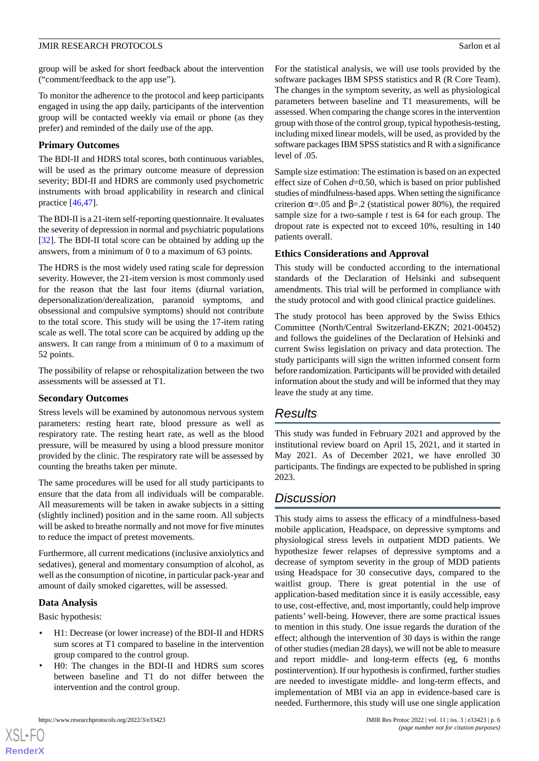group will be asked for short feedback about the intervention ("comment/feedback to the app use").

To monitor the adherence to the protocol and keep participants engaged in using the app daily, participants of the intervention group will be contacted weekly via email or phone (as they prefer) and reminded of the daily use of the app.

# **Primary Outcomes**

The BDI-II and HDRS total scores, both continuous variables, will be used as the primary outcome measure of depression severity; BDI-II and HDRS are commonly used psychometric instruments with broad applicability in research and clinical practice [[46](#page-8-14)[,47](#page-8-15)].

The BDI-II is a 21-item self-reporting questionnaire. It evaluates the severity of depression in normal and psychiatric populations [[32\]](#page-8-1). The BDI-II total score can be obtained by adding up the answers, from a minimum of 0 to a maximum of 63 points.

The HDRS is the most widely used rating scale for depression severity. However, the 21-item version is most commonly used for the reason that the last four items (diurnal variation, depersonalization/derealization, paranoid symptoms, and obsessional and compulsive symptoms) should not contribute to the total score. This study will be using the 17-item rating scale as well. The total score can be acquired by adding up the answers. It can range from a minimum of 0 to a maximum of 52 points.

The possibility of relapse or rehospitalization between the two assessments will be assessed at T1.

# **Secondary Outcomes**

Stress levels will be examined by autonomous nervous system parameters: resting heart rate, blood pressure as well as respiratory rate. The resting heart rate, as well as the blood pressure, will be measured by using a blood pressure monitor provided by the clinic. The respiratory rate will be assessed by counting the breaths taken per minute.

The same procedures will be used for all study participants to ensure that the data from all individuals will be comparable. All measurements will be taken in awake subjects in a sitting (slightly inclined) position and in the same room. All subjects will be asked to breathe normally and not move for five minutes to reduce the impact of pretest movements.

Furthermore, all current medications (inclusive anxiolytics and sedatives), general and momentary consumption of alcohol, as well as the consumption of nicotine, in particular pack-year and amount of daily smoked cigarettes, will be assessed.

# **Data Analysis**

Basic hypothesis:

[XSL](http://www.w3.org/Style/XSL)•FO **[RenderX](http://www.renderx.com/)**

- H1: Decrease (or lower increase) of the BDI-II and HDRS sum scores at T1 compared to baseline in the intervention group compared to the control group.
- H0: The changes in the BDI-II and HDRS sum scores between baseline and T1 do not differ between the intervention and the control group.

For the statistical analysis, we will use tools provided by the software packages IBM SPSS statistics and R (R Core Team). The changes in the symptom severity, as well as physiological parameters between baseline and T1 measurements, will be assessed. When comparing the change scores in the intervention group with those of the control group, typical hypothesis-testing, including mixed linear models, will be used, as provided by the software packages IBM SPSS statistics and R with a significance level of .05.

Sample size estimation: The estimation is based on an expected effect size of Cohen *d*=0.50, which is based on prior published studies of mindfulness-based apps. When setting the significance criterion  $\alpha = 0.05$  and  $\beta = 0.2$  (statistical power 80%), the required sample size for a two-sample *t* test is 64 for each group. The dropout rate is expected not to exceed 10%, resulting in 140 patients overall.

# **Ethics Considerations and Approval**

This study will be conducted according to the international standards of the Declaration of Helsinki and subsequent amendments. This trial will be performed in compliance with the study protocol and with good clinical practice guidelines.

The study protocol has been approved by the Swiss Ethics Committee (North/Central Switzerland-EKZN; 2021-00452) and follows the guidelines of the Declaration of Helsinki and current Swiss legislation on privacy and data protection. The study participants will sign the written informed consent form before randomization. Participants will be provided with detailed information about the study and will be informed that they may leave the study at any time.

# *Results*

This study was funded in February 2021 and approved by the institutional review board on April 15, 2021, and it started in May 2021. As of December 2021, we have enrolled 30 participants. The findings are expected to be published in spring 2023.

# *Discussion*

This study aims to assess the efficacy of a mindfulness-based mobile application, Headspace, on depressive symptoms and physiological stress levels in outpatient MDD patients. We hypothesize fewer relapses of depressive symptoms and a decrease of symptom severity in the group of MDD patients using Headspace for 30 consecutive days, compared to the waitlist group. There is great potential in the use of application-based meditation since it is easily accessible, easy to use, cost-effective, and, most importantly, could help improve patients' well-being. However, there are some practical issues to mention in this study. One issue regards the duration of the effect; although the intervention of 30 days is within the range of other studies (median 28 days), we will not be able to measure and report middle- and long-term effects (eg, 6 months postintervention). If our hypothesis is confirmed, further studies are needed to investigate middle- and long-term effects, and implementation of MBI via an app in evidence-based care is needed. Furthermore, this study will use one single application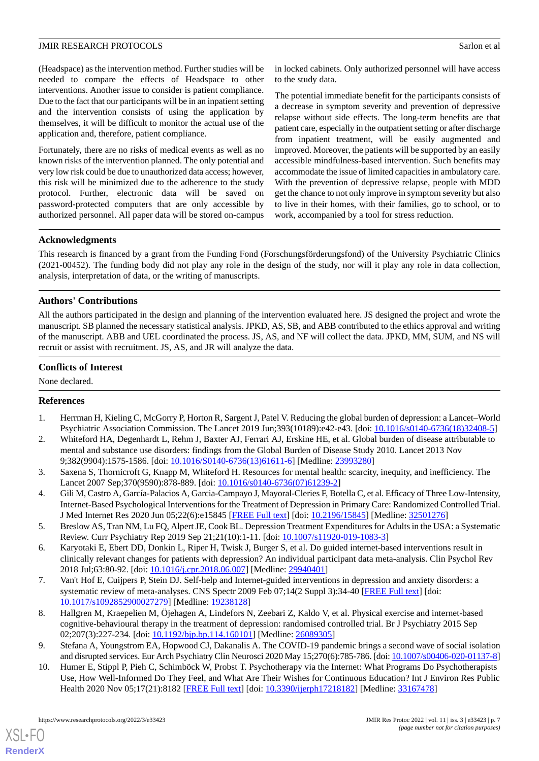(Headspace) as the intervention method. Further studies will be needed to compare the effects of Headspace to other interventions. Another issue to consider is patient compliance. Due to the fact that our participants will be in an inpatient setting and the intervention consists of using the application by themselves, it will be difficult to monitor the actual use of the application and, therefore, patient compliance.

Fortunately, there are no risks of medical events as well as no known risks of the intervention planned. The only potential and very low risk could be due to unauthorized data access; however, this risk will be minimized due to the adherence to the study protocol. Further, electronic data will be saved on password-protected computers that are only accessible by authorized personnel. All paper data will be stored on-campus in locked cabinets. Only authorized personnel will have access to the study data.

The potential immediate benefit for the participants consists of a decrease in symptom severity and prevention of depressive relapse without side effects. The long-term benefits are that patient care, especially in the outpatient setting or after discharge from inpatient treatment, will be easily augmented and improved. Moreover, the patients will be supported by an easily accessible mindfulness-based intervention. Such benefits may accommodate the issue of limited capacities in ambulatory care. With the prevention of depressive relapse, people with MDD get the chance to not only improve in symptom severity but also to live in their homes, with their families, go to school, or to work, accompanied by a tool for stress reduction.

## **Acknowledgments**

This research is financed by a grant from the Funding Fond (Forschungsförderungsfond) of the University Psychiatric Clinics (2021-00452). The funding body did not play any role in the design of the study, nor will it play any role in data collection, analysis, interpretation of data, or the writing of manuscripts.

# **Authors' Contributions**

All the authors participated in the design and planning of the intervention evaluated here. JS designed the project and wrote the manuscript. SB planned the necessary statistical analysis. JPKD, AS, SB, and ABB contributed to the ethics approval and writing of the manuscript. ABB and UEL coordinated the process. JS, AS, and NF will collect the data. JPKD, MM, SUM, and NS will recruit or assist with recruitment. JS, AS, and JR will analyze the data.

## **Conflicts of Interest**

<span id="page-6-0"></span>None declared.

# **References**

- <span id="page-6-1"></span>1. Herrman H, Kieling C, McGorry P, Horton R, Sargent J, Patel V. Reducing the global burden of depression: a Lancet–World Psychiatric Association Commission. The Lancet 2019 Jun;393(10189):e42-e43. [doi: [10.1016/s0140-6736\(18\)32408-5](http://dx.doi.org/10.1016/s0140-6736(18)32408-5)]
- <span id="page-6-2"></span>2. Whiteford HA, Degenhardt L, Rehm J, Baxter AJ, Ferrari AJ, Erskine HE, et al. Global burden of disease attributable to mental and substance use disorders: findings from the Global Burden of Disease Study 2010. Lancet 2013 Nov 9;382(9904):1575-1586. [doi: [10.1016/S0140-6736\(13\)61611-6\]](http://dx.doi.org/10.1016/S0140-6736(13)61611-6) [Medline: [23993280](http://www.ncbi.nlm.nih.gov/entrez/query.fcgi?cmd=Retrieve&db=PubMed&list_uids=23993280&dopt=Abstract)]
- <span id="page-6-3"></span>3. Saxena S, Thornicroft G, Knapp M, Whiteford H. Resources for mental health: scarcity, inequity, and inefficiency. The Lancet 2007 Sep;370(9590):878-889. [doi: [10.1016/s0140-6736\(07\)61239-2](http://dx.doi.org/10.1016/s0140-6736(07)61239-2)]
- <span id="page-6-4"></span>4. Gili M, Castro A, García-Palacios A, Garcia-Campayo J, Mayoral-Cleries F, Botella C, et al. Efficacy of Three Low-Intensity, Internet-Based Psychological Interventions for the Treatment of Depression in Primary Care: Randomized Controlled Trial. J Med Internet Res 2020 Jun 05;22(6):e15845 [\[FREE Full text\]](https://www.jmir.org/2020/6/e15845/) [doi: [10.2196/15845](http://dx.doi.org/10.2196/15845)] [Medline: [32501276\]](http://www.ncbi.nlm.nih.gov/entrez/query.fcgi?cmd=Retrieve&db=PubMed&list_uids=32501276&dopt=Abstract)
- 5. Breslow AS, Tran NM, Lu FQ, Alpert JE, Cook BL. Depression Treatment Expenditures for Adults in the USA: a Systematic Review. Curr Psychiatry Rep 2019 Sep 21;21(10):1-11. [doi: [10.1007/s11920-019-1083-3](http://dx.doi.org/10.1007/s11920-019-1083-3)]
- <span id="page-6-5"></span>6. Karyotaki E, Ebert DD, Donkin L, Riper H, Twisk J, Burger S, et al. Do guided internet-based interventions result in clinically relevant changes for patients with depression? An individual participant data meta-analysis. Clin Psychol Rev 2018 Jul;63:80-92. [doi: [10.1016/j.cpr.2018.06.007](http://dx.doi.org/10.1016/j.cpr.2018.06.007)] [Medline: [29940401](http://www.ncbi.nlm.nih.gov/entrez/query.fcgi?cmd=Retrieve&db=PubMed&list_uids=29940401&dopt=Abstract)]
- <span id="page-6-6"></span>7. Van't Hof E, Cuijpers P, Stein DJ. Self-help and Internet-guided interventions in depression and anxiety disorders: a systematic review of meta-analyses. CNS Spectr 2009 Feb 07;14(2 Suppl 3):34-40 [[FREE Full text](http://paperpile.com/b/w638F2/1JOG)] [doi: [10.1017/s1092852900027279\]](http://dx.doi.org/10.1017/s1092852900027279) [Medline: [19238128\]](http://www.ncbi.nlm.nih.gov/entrez/query.fcgi?cmd=Retrieve&db=PubMed&list_uids=19238128&dopt=Abstract)
- 8. Hallgren M, Kraepelien M, Öjehagen A, Lindefors N, Zeebari Z, Kaldo V, et al. Physical exercise and internet-based cognitive-behavioural therapy in the treatment of depression: randomised controlled trial. Br J Psychiatry 2015 Sep 02;207(3):227-234. [doi: [10.1192/bjp.bp.114.160101](http://dx.doi.org/10.1192/bjp.bp.114.160101)] [Medline: [26089305\]](http://www.ncbi.nlm.nih.gov/entrez/query.fcgi?cmd=Retrieve&db=PubMed&list_uids=26089305&dopt=Abstract)
- 9. Stefana A, Youngstrom EA, Hopwood CJ, Dakanalis A. The COVID-19 pandemic brings a second wave of social isolation and disrupted services. Eur Arch Psychiatry Clin Neurosci 2020 May 15;270(6):785-786. [doi: [10.1007/s00406-020-01137-8](http://dx.doi.org/10.1007/s00406-020-01137-8)]
- 10. Humer E, Stippl P, Pieh C, Schimböck W, Probst T. Psychotherapy via the Internet: What Programs Do Psychotherapists Use, How Well-Informed Do They Feel, and What Are Their Wishes for Continuous Education? Int J Environ Res Public Health 2020 Nov 05;17(21):8182 [[FREE Full text](https://www.mdpi.com/resolver?pii=ijerph17218182)] [doi: [10.3390/ijerph17218182](http://dx.doi.org/10.3390/ijerph17218182)] [Medline: [33167478\]](http://www.ncbi.nlm.nih.gov/entrez/query.fcgi?cmd=Retrieve&db=PubMed&list_uids=33167478&dopt=Abstract)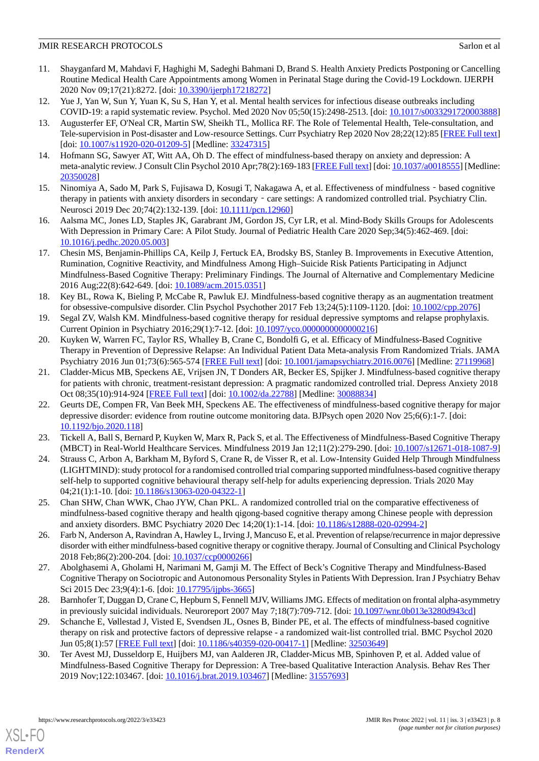- <span id="page-7-0"></span>11. Shayganfard M, Mahdavi F, Haghighi M, Sadeghi Bahmani D, Brand S. Health Anxiety Predicts Postponing or Cancelling Routine Medical Health Care Appointments among Women in Perinatal Stage during the Covid-19 Lockdown. IJERPH 2020 Nov 09;17(21):8272. [doi: [10.3390/ijerph17218272\]](http://dx.doi.org/10.3390/ijerph17218272)
- <span id="page-7-2"></span><span id="page-7-1"></span>12. Yue J, Yan W, Sun Y, Yuan K, Su S, Han Y, et al. Mental health services for infectious disease outbreaks including COVID-19: a rapid systematic review. Psychol. Med 2020 Nov 05;50(15):2498-2513. [doi: [10.1017/s0033291720003888](http://dx.doi.org/10.1017/s0033291720003888)]
- 13. Augusterfer EF, O'Neal CR, Martin SW, Sheikh TL, Mollica RF. The Role of Telemental Health, Tele-consultation, and Tele-supervision in Post-disaster and Low-resource Settings. Curr Psychiatry Rep 2020 Nov 28;22(12):85 [[FREE Full text](http://europepmc.org/abstract/MED/33247315)] [doi: [10.1007/s11920-020-01209-5](http://dx.doi.org/10.1007/s11920-020-01209-5)] [Medline: [33247315\]](http://www.ncbi.nlm.nih.gov/entrez/query.fcgi?cmd=Retrieve&db=PubMed&list_uids=33247315&dopt=Abstract)
- <span id="page-7-3"></span>14. Hofmann SG, Sawyer AT, Witt AA, Oh D. The effect of mindfulness-based therapy on anxiety and depression: A meta-analytic review. J Consult Clin Psychol 2010 Apr;78(2):169-183 [\[FREE Full text](http://europepmc.org/abstract/MED/20350028)] [doi: [10.1037/a0018555](http://dx.doi.org/10.1037/a0018555)] [Medline: [20350028](http://www.ncbi.nlm.nih.gov/entrez/query.fcgi?cmd=Retrieve&db=PubMed&list_uids=20350028&dopt=Abstract)]
- 15. Ninomiya A, Sado M, Park S, Fujisawa D, Kosugi T, Nakagawa A, et al. Effectiveness of mindfulness based cognitive therapy in patients with anxiety disorders in secondary - care settings: A randomized controlled trial. Psychiatry Clin. Neurosci 2019 Dec 20;74(2):132-139. [doi: [10.1111/pcn.12960](http://dx.doi.org/10.1111/pcn.12960)]
- 16. Aalsma MC, Jones LD, Staples JK, Garabrant JM, Gordon JS, Cyr LR, et al. Mind-Body Skills Groups for Adolescents With Depression in Primary Care: A Pilot Study. Journal of Pediatric Health Care 2020 Sep;34(5):462-469. [doi: [10.1016/j.pedhc.2020.05.003\]](http://dx.doi.org/10.1016/j.pedhc.2020.05.003)
- 17. Chesin MS, Benjamin-Phillips CA, Keilp J, Fertuck EA, Brodsky BS, Stanley B. Improvements in Executive Attention, Rumination, Cognitive Reactivity, and Mindfulness Among High–Suicide Risk Patients Participating in Adjunct Mindfulness-Based Cognitive Therapy: Preliminary Findings. The Journal of Alternative and Complementary Medicine 2016 Aug;22(8):642-649. [doi: [10.1089/acm.2015.0351](http://dx.doi.org/10.1089/acm.2015.0351)]
- <span id="page-7-5"></span><span id="page-7-4"></span>18. Key BL, Rowa K, Bieling P, McCabe R, Pawluk EJ. Mindfulness-based cognitive therapy as an augmentation treatment for obsessive-compulsive disorder. Clin Psychol Psychother 2017 Feb 13;24(5):1109-1120. [doi: [10.1002/cpp.2076](http://dx.doi.org/10.1002/cpp.2076)]
- 19. Segal ZV, Walsh KM. Mindfulness-based cognitive therapy for residual depressive symptoms and relapse prophylaxis. Current Opinion in Psychiatry 2016;29(1):7-12. [doi: [10.1097/yco.0000000000000216](http://dx.doi.org/10.1097/yco.0000000000000216)]
- 20. Kuyken W, Warren FC, Taylor RS, Whalley B, Crane C, Bondolfi G, et al. Efficacy of Mindfulness-Based Cognitive Therapy in Prevention of Depressive Relapse: An Individual Patient Data Meta-analysis From Randomized Trials. JAMA Psychiatry 2016 Jun 01;73(6):565-574 [\[FREE Full text\]](http://europepmc.org/abstract/MED/27119968) [doi: [10.1001/jamapsychiatry.2016.0076\]](http://dx.doi.org/10.1001/jamapsychiatry.2016.0076) [Medline: [27119968\]](http://www.ncbi.nlm.nih.gov/entrez/query.fcgi?cmd=Retrieve&db=PubMed&list_uids=27119968&dopt=Abstract)
- 21. Cladder-Micus MB, Speckens AE, Vrijsen JN, T Donders AR, Becker ES, Spijker J. Mindfulness-based cognitive therapy for patients with chronic, treatment-resistant depression: A pragmatic randomized controlled trial. Depress Anxiety 2018 Oct 08;35(10):914-924 [[FREE Full text](http://europepmc.org/abstract/MED/30088834)] [doi: [10.1002/da.22788\]](http://dx.doi.org/10.1002/da.22788) [Medline: [30088834](http://www.ncbi.nlm.nih.gov/entrez/query.fcgi?cmd=Retrieve&db=PubMed&list_uids=30088834&dopt=Abstract)]
- <span id="page-7-7"></span><span id="page-7-6"></span>22. Geurts DE, Compen FR, Van Beek MH, Speckens AE. The effectiveness of mindfulness-based cognitive therapy for major depressive disorder: evidence from routine outcome monitoring data. BJPsych open 2020 Nov 25;6(6):1-7. [doi: [10.1192/bjo.2020.118\]](http://dx.doi.org/10.1192/bjo.2020.118)
- 23. Tickell A, Ball S, Bernard P, Kuyken W, Marx R, Pack S, et al. The Effectiveness of Mindfulness-Based Cognitive Therapy (MBCT) in Real-World Healthcare Services. Mindfulness 2019 Jan 12;11(2):279-290. [doi: [10.1007/s12671-018-1087-9](http://dx.doi.org/10.1007/s12671-018-1087-9)]
- 24. Strauss C, Arbon A, Barkham M, Byford S, Crane R, de Visser R, et al. Low-Intensity Guided Help Through Mindfulness (LIGHTMIND): study protocol for a randomised controlled trial comparing supported mindfulness-based cognitive therapy self-help to supported cognitive behavioural therapy self-help for adults experiencing depression. Trials 2020 May 04;21(1):1-10. [doi: [10.1186/s13063-020-04322-1\]](http://dx.doi.org/10.1186/s13063-020-04322-1)
- <span id="page-7-8"></span>25. Chan SHW, Chan WWK, Chao JYW, Chan PKL. A randomized controlled trial on the comparative effectiveness of mindfulness-based cognitive therapy and health qigong-based cognitive therapy among Chinese people with depression and anxiety disorders. BMC Psychiatry 2020 Dec 14;20(1):1-14. [doi: [10.1186/s12888-020-02994-2\]](http://dx.doi.org/10.1186/s12888-020-02994-2)
- <span id="page-7-9"></span>26. Farb N, Anderson A, Ravindran A, Hawley L, Irving J, Mancuso E, et al. Prevention of relapse/recurrence in major depressive disorder with either mindfulness-based cognitive therapy or cognitive therapy. Journal of Consulting and Clinical Psychology 2018 Feb;86(2):200-204. [doi: [10.1037/ccp0000266](http://dx.doi.org/10.1037/ccp0000266)]
- 27. Abolghasemi A, Gholami H, Narimani M, Gamji M. The Effect of Beck's Cognitive Therapy and Mindfulness-Based Cognitive Therapy on Sociotropic and Autonomous Personality Styles in Patients With Depression. Iran J Psychiatry Behav Sci 2015 Dec 23;9(4):1-6. [doi: [10.17795/ijpbs-3665\]](http://dx.doi.org/10.17795/ijpbs-3665)
- 28. Barnhofer T, Duggan D, Crane C, Hepburn S, Fennell MJV, Williams JMG. Effects of meditation on frontal alpha-asymmetry in previously suicidal individuals. Neuroreport 2007 May 7;18(7):709-712. [doi: [10.1097/wnr.0b013e3280d943cd](http://dx.doi.org/10.1097/wnr.0b013e3280d943cd)]
- 29. Schanche E, Vøllestad J, Visted E, Svendsen JL, Osnes B, Binder PE, et al. The effects of mindfulness-based cognitive therapy on risk and protective factors of depressive relapse - a randomized wait-list controlled trial. BMC Psychol 2020 Jun 05;8(1):57 [[FREE Full text](https://bmcpsychology.biomedcentral.com/articles/10.1186/s40359-020-00417-1)] [doi: [10.1186/s40359-020-00417-1\]](http://dx.doi.org/10.1186/s40359-020-00417-1) [Medline: [32503649\]](http://www.ncbi.nlm.nih.gov/entrez/query.fcgi?cmd=Retrieve&db=PubMed&list_uids=32503649&dopt=Abstract)
- 30. Ter Avest MJ, Dusseldorp E, Huijbers MJ, van Aalderen JR, Cladder-Micus MB, Spinhoven P, et al. Added value of Mindfulness-Based Cognitive Therapy for Depression: A Tree-based Qualitative Interaction Analysis. Behav Res Ther 2019 Nov;122:103467. [doi: [10.1016/j.brat.2019.103467](http://dx.doi.org/10.1016/j.brat.2019.103467)] [Medline: [31557693\]](http://www.ncbi.nlm.nih.gov/entrez/query.fcgi?cmd=Retrieve&db=PubMed&list_uids=31557693&dopt=Abstract)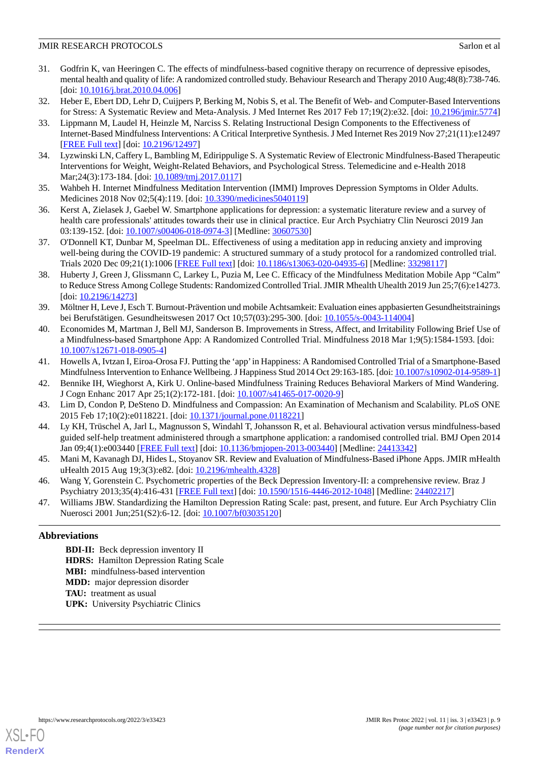- <span id="page-8-0"></span>31. Godfrin K, van Heeringen C. The effects of mindfulness-based cognitive therapy on recurrence of depressive episodes, mental health and quality of life: A randomized controlled study. Behaviour Research and Therapy 2010 Aug;48(8):738-746. [doi: [10.1016/j.brat.2010.04.006](http://dx.doi.org/10.1016/j.brat.2010.04.006)]
- <span id="page-8-1"></span>32. Heber E, Ebert DD, Lehr D, Cuijpers P, Berking M, Nobis S, et al. The Benefit of Web- and Computer-Based Interventions for Stress: A Systematic Review and Meta-Analysis. J Med Internet Res 2017 Feb 17;19(2):e32. [doi: [10.2196/jmir.5774](http://dx.doi.org/10.2196/jmir.5774)]
- 33. Lippmann M, Laudel H, Heinzle M, Narciss S. Relating Instructional Design Components to the Effectiveness of Internet-Based Mindfulness Interventions: A Critical Interpretive Synthesis. J Med Internet Res 2019 Nov 27;21(11):e12497 [[FREE Full text](https://pubmed.ncbi.nlm.nih.gov/31774413/)] [doi: [10.2196/12497\]](http://dx.doi.org/10.2196/12497)
- <span id="page-8-3"></span><span id="page-8-2"></span>34. Lyzwinski LN, Caffery L, Bambling M, Edirippulige S. A Systematic Review of Electronic Mindfulness-Based Therapeutic Interventions for Weight, Weight-Related Behaviors, and Psychological Stress. Telemedicine and e-Health 2018 Mar;24(3):173-184. [doi: [10.1089/tmj.2017.0117\]](http://dx.doi.org/10.1089/tmj.2017.0117)
- <span id="page-8-4"></span>35. Wahbeh H. Internet Mindfulness Meditation Intervention (IMMI) Improves Depression Symptoms in Older Adults. Medicines 2018 Nov 02;5(4):119. [doi: [10.3390/medicines5040119](http://dx.doi.org/10.3390/medicines5040119)]
- <span id="page-8-5"></span>36. Kerst A, Zielasek J, Gaebel W. Smartphone applications for depression: a systematic literature review and a survey of health care professionals' attitudes towards their use in clinical practice. Eur Arch Psychiatry Clin Neurosci 2019 Jan 03:139-152. [doi: [10.1007/s00406-018-0974-3](http://dx.doi.org/10.1007/s00406-018-0974-3)] [Medline: [30607530\]](http://www.ncbi.nlm.nih.gov/entrez/query.fcgi?cmd=Retrieve&db=PubMed&list_uids=30607530&dopt=Abstract)
- <span id="page-8-7"></span>37. O'Donnell KT, Dunbar M, Speelman DL. Effectiveness of using a meditation app in reducing anxiety and improving well-being during the COVID-19 pandemic: A structured summary of a study protocol for a randomized controlled trial. Trials 2020 Dec 09;21(1):1006 [\[FREE Full text\]](https://trialsjournal.biomedcentral.com/articles/10.1186/s13063-020-04935-6) [doi: [10.1186/s13063-020-04935-6\]](http://dx.doi.org/10.1186/s13063-020-04935-6) [Medline: [33298117\]](http://www.ncbi.nlm.nih.gov/entrez/query.fcgi?cmd=Retrieve&db=PubMed&list_uids=33298117&dopt=Abstract)
- <span id="page-8-8"></span>38. Huberty J, Green J, Glissmann C, Larkey L, Puzia M, Lee C. Efficacy of the Mindfulness Meditation Mobile App "Calm" to Reduce Stress Among College Students: Randomized Controlled Trial. JMIR Mhealth Uhealth 2019 Jun 25;7(6):e14273. [doi: [10.2196/14273](http://dx.doi.org/10.2196/14273)]
- <span id="page-8-9"></span>39. Möltner H, Leve J, Esch T. Burnout-Prävention und mobile Achtsamkeit: Evaluation eines appbasierten Gesundheitstrainings bei Berufstätigen. Gesundheitswesen 2017 Oct 10;57(03):295-300. [doi: [10.1055/s-0043-114004](http://dx.doi.org/10.1055/s-0043-114004)]
- <span id="page-8-11"></span><span id="page-8-10"></span>40. Economides M, Martman J, Bell MJ, Sanderson B. Improvements in Stress, Affect, and Irritability Following Brief Use of a Mindfulness-based Smartphone App: A Randomized Controlled Trial. Mindfulness 2018 Mar 1;9(5):1584-1593. [doi: [10.1007/s12671-018-0905-4\]](http://dx.doi.org/10.1007/s12671-018-0905-4)
- <span id="page-8-6"></span>41. Howells A, Ivtzan I, Eiroa-Orosa FJ. Putting the 'app'in Happiness: A Randomised Controlled Trial of a Smartphone-Based Mindfulness Intervention to Enhance Wellbeing. J Happiness Stud 2014 Oct 29:163-185. [doi: [10.1007/s10902-014-9589-1](http://dx.doi.org/10.1007/s10902-014-9589-1)]
- <span id="page-8-12"></span>42. Bennike IH, Wieghorst A, Kirk U. Online-based Mindfulness Training Reduces Behavioral Markers of Mind Wandering. J Cogn Enhanc 2017 Apr 25;1(2):172-181. [doi: [10.1007/s41465-017-0020-9](http://dx.doi.org/10.1007/s41465-017-0020-9)]
- <span id="page-8-13"></span>43. Lim D, Condon P, DeSteno D. Mindfulness and Compassion: An Examination of Mechanism and Scalability. PLoS ONE 2015 Feb 17;10(2):e0118221. [doi: [10.1371/journal.pone.0118221\]](http://dx.doi.org/10.1371/journal.pone.0118221)
- <span id="page-8-14"></span>44. Ly KH, Trüschel A, Jarl L, Magnusson S, Windahl T, Johansson R, et al. Behavioural activation versus mindfulness-based guided self-help treatment administered through a smartphone application: a randomised controlled trial. BMJ Open 2014 Jan 09;4(1):e003440 [[FREE Full text](https://bmjopen.bmj.com/lookup/pmidlookup?view=long&pmid=24413342)] [doi: [10.1136/bmjopen-2013-003440](http://dx.doi.org/10.1136/bmjopen-2013-003440)] [Medline: [24413342](http://www.ncbi.nlm.nih.gov/entrez/query.fcgi?cmd=Retrieve&db=PubMed&list_uids=24413342&dopt=Abstract)]
- <span id="page-8-15"></span>45. Mani M, Kavanagh DJ, Hides L, Stoyanov SR. Review and Evaluation of Mindfulness-Based iPhone Apps. JMIR mHealth uHealth 2015 Aug 19;3(3):e82. [doi: [10.2196/mhealth.4328\]](http://dx.doi.org/10.2196/mhealth.4328)
- 46. Wang Y, Gorenstein C. Psychometric properties of the Beck Depression Inventory-II: a comprehensive review. Braz J Psychiatry 2013;35(4):416-431 [[FREE Full text](https://www.scielo.br/scielo.php?script=sci_arttext&pid=S1516-44462013000400416&lng=en&nrm=iso&tlng=en)] [doi: [10.1590/1516-4446-2012-1048](http://dx.doi.org/10.1590/1516-4446-2012-1048)] [Medline: [24402217](http://www.ncbi.nlm.nih.gov/entrez/query.fcgi?cmd=Retrieve&db=PubMed&list_uids=24402217&dopt=Abstract)]
- 47. Williams JBW. Standardizing the Hamilton Depression Rating Scale: past, present, and future. Eur Arch Psychiatry Clin Nuerosci 2001 Jun;251(S2):6-12. [doi: [10.1007/bf03035120\]](http://dx.doi.org/10.1007/bf03035120)

# **Abbreviations**

**BDI-II:** Beck depression inventory II **HDRS:** Hamilton Depression Rating Scale **MBI:** mindfulness-based intervention **MDD:** major depression disorder **TAU:** treatment as usual **UPK:** University Psychiatric Clinics